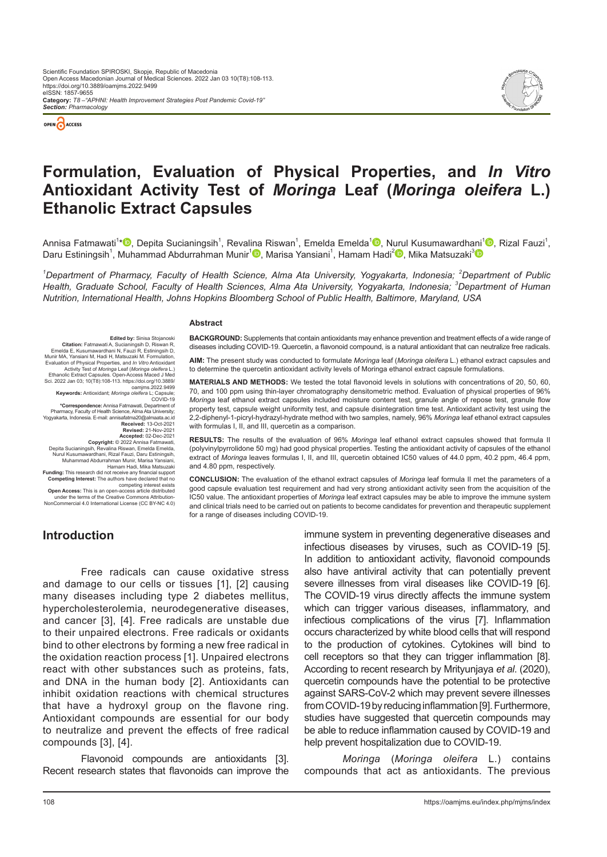

Edited by: Sinisa Stojanoski<br>
Emelda E, Kusumawardhani N, Rauzi R, Riswan R,<br>
Emelda E, Kusumawardhani N, Fauzi R, Estiningsih D,<br>
Munir MA, Yansiani M, Hadi H, Matsuzaki M. Formulation,<br>
Munir MA, Yansiani M, Hadi H, Mats

Sci. 2022 Jan 03; 10(T8):108-113. https://doi.org/10.3889/

**Keywords:** Antioxidant; *Moringa oleifera* L; Capsule; COVID-19 **\*Correspondence:** Annisa Fatmawati, Department of Pharmacy, Faculty of Health Science, Alma Ata University; Yogyakarta, Indonesia. E-mail: annisafatma20@almaata.ac.id

**Accepted:** 02-Dec-2021<br>Copyright: © 2022 Annisa Fatmawati,<br>Depita Sucianingsih, Revalina Riswan, Emelda Emelda,<br>Nurul Kusumawardhani, Rizal Fauzi, Daru Estiningsih, Muhammad Abdurrahman Munir, Marisa Yansiani, Hamam Hadi, Mika Matsuzaki<br>**Funding:** This research did not receive any financial support<br>**Competing Interest:** The authors have declared that no

competing interest exists<br>**Open Access:** This is an open-access article distribution-<br>under the terms of the Creative Commons Attribution-<br>NonCommercial 4.0 International License (CC BY-NC 4.0)

**Introduction**

oamjms.2022.9499

**Received:** 13-Oct-2021 **Revised:** 21-Nov-2021<br>**Accented:** 02-Dec-2021



# **Formulation, Evaluation of Physical Properties, and** *In Vitro*  **Antioxidant Activity Test of** *Moringa* **Leaf (***Moringa oleifera* **L.) Ethanolic Extract Capsules**

Annisa Fatmawati<sup>1</sup>[\\*](https://orcid.org/0000-0002-8677-0932)❶, Depita Sucianingsih<sup>1</sup>, Reva[lina](https://orcid.org/0000-0001-6129-6202) Riswan<sup>1</sup>[,](https://orcid.org/0000-0003-3554-9039) Emelda Emelda<sup>1</sup>❶, [Nuru](https://orcid.org/0000-0002-1945-2539)l Kusumawardh[ani](https://orcid.org/0000-0002-7020-3757)<sup>1</sup>❶, Rizal Fauzi<sup>1</sup>, Daru Estiningsih<sup>1</sup>, Muhammad Abdurrahman Munir<sup>1</sup>i, Marisa Yansiani<sup>1</sup>, Hamam Hadi<sup>2</sup>i, Mika Matsuzaki<sup>3</sup>

<sup>1</sup>Department of Pharmacy, Faculty of Health Science, Alma Ata University, Yogyakarta, Indonesia; <sup>2</sup>Department of Public *Health, Graduate School, Faculty of Health Sciences, Alma Ata University, Yogyakarta, Indonesia; <sup>3</sup> Department of Human Nutrition, International Health, Johns Hopkins Bloomberg School of Public Health, Baltimore, Maryland, USA*

#### **Abstract**

**BACKGROUND:** Supplements that contain antioxidants may enhance prevention and treatment effects of a wide range of diseases including COVID-19. Quercetin, a flavonoid compound, is a natural antioxidant that can neutralize free radicals.

**AIM:** The present study was conducted to formulate *Moringa* leaf (*Moringa oleifera* L.) ethanol extract capsules and to determine the quercetin antioxidant activity levels of Moringa ethanol extract capsule formulations.

**MATERIALS AND METHODS:** We tested the total flavonoid levels in solutions with concentrations of 20, 50, 60, 70, and 100 ppm using thin-layer chromatography densitometric method. Evaluation of physical properties of 96% *Moringa* leaf ethanol extract capsules included moisture content test, granule angle of repose test, granule flow property test, capsule weight uniformity test, and capsule disintegration time test. Antioxidant activity test using the 2,2-diphenyl-1-picryl-hydrazyl-hydrate method with two samples, namely, 96% *Moringa* leaf ethanol extract capsules with formulas I, II, and III, quercetin as a comparison.

**RESULTS:** The results of the evaluation of 96% *Moringa* leaf ethanol extract capsules showed that formula II (polyvinylpyrrolidone 50 mg) had good physical properties. Testing the antioxidant activity of capsules of the ethanol extract of *Moringa* leaves formulas I, II, and III, quercetin obtained IC50 values of 44.0 ppm, 40.2 ppm, 46.4 ppm, and 4.80 ppm, respectively.

**CONCLUSION:** The evaluation of the ethanol extract capsules of *Moringa* leaf formula II met the parameters of a good capsule evaluation test requirement and had very strong antioxidant activity seen from the acquisition of the IC50 value. The antioxidant properties of *Moringa* leaf extract capsules may be able to improve the immune system and clinical trials need to be carried out on patients to become candidates for prevention and therapeutic supplement for a range of diseases including COVID-19.

Free radicals can cause oxidative stress and damage to our cells or tissues [1], [2] causing many diseases including type 2 diabetes mellitus, hypercholesterolemia, neurodegenerative diseases, and cancer [3], [4]. Free radicals are unstable due to their unpaired electrons. Free radicals or oxidants bind to other electrons by forming a new free radical in the oxidation reaction process [1]. Unpaired electrons react with other substances such as proteins, fats, and DNA in the human body [2]. Antioxidants can inhibit oxidation reactions with chemical structures that have a hydroxyl group on the flavone ring. Antioxidant compounds are essential for our body to neutralize and prevent the effects of free radical compounds [3], [4].

Flavonoid compounds are antioxidants [3]. Recent research states that flavonoids can improve the immune system in preventing degenerative diseases and infectious diseases by viruses, such as COVID-19 [5]. In addition to antioxidant activity, flavonoid compounds also have antiviral activity that can potentially prevent severe illnesses from viral diseases like COVID-19 [6]. The COVID-19 virus directly affects the immune system which can trigger various diseases, inflammatory, and infectious complications of the virus [7]. Inflammation occurs characterized by white blood cells that will respond to the production of cytokines. Cytokines will bind to cell receptors so that they can trigger inflammation [8]. According to recent research by Mrityunjaya *et al*. (2020), quercetin compounds have the potential to be protective against SARS-CoV-2 which may prevent severe illnesses from COVID-19 by reducing inflammation [9]. Furthermore, studies have suggested that quercetin compounds may be able to reduce inflammation caused by COVID-19 and help prevent hospitalization due to COVID-19.

*Moringa* (*Moringa oleifera* L.) contains compounds that act as antioxidants. The previous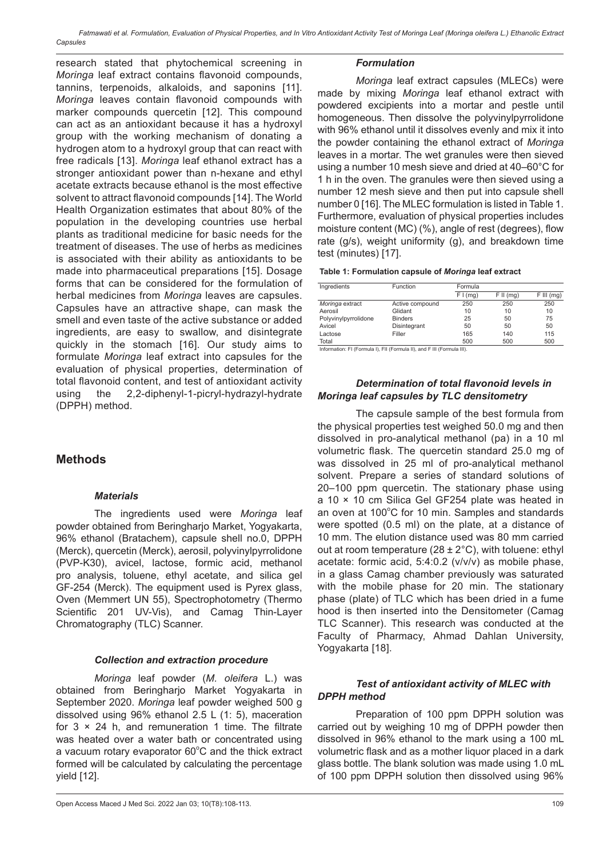*Fatmawati et al. Formulation, Evaluation of Physical Properties, and In Vitro Antioxidant Activity Test of Moringa Leaf (Moringa oleifera L.) Ethanolic Extract Capsules*

research stated that phytochemical screening in *Moringa* leaf extract contains flavonoid compounds, tannins, terpenoids, alkaloids, and saponins [11]. *Moringa* leaves contain flavonoid compounds with marker compounds quercetin [12]. This compound can act as an antioxidant because it has a hydroxyl group with the working mechanism of donating a hydrogen atom to a hydroxyl group that can react with free radicals [13]. *Moringa* leaf ethanol extract has a stronger antioxidant power than n-hexane and ethyl acetate extracts because ethanol is the most effective solvent to attract flavonoid compounds [14]. The World Health Organization estimates that about 80% of the population in the developing countries use herbal plants as traditional medicine for basic needs for the treatment of diseases. The use of herbs as medicines is associated with their ability as antioxidants to be made into pharmaceutical preparations [15]. Dosage forms that can be considered for the formulation of herbal medicines from *Moringa* leaves are capsules. Capsules have an attractive shape, can mask the smell and even taste of the active substance or added ingredients, are easy to swallow, and disintegrate quickly in the stomach [16]. Our study aims to formulate *Moringa* leaf extract into capsules for the evaluation of physical properties, determination of total flavonoid content, and test of antioxidant activity using the 2,2-diphenyl-1-picryl-hydrazyl-hydrate (DPPH) method.

# **Methods**

## *Materials*

The ingredients used were *Moringa* leaf powder obtained from Beringharjo Market, Yogyakarta, 96% ethanol (Bratachem), capsule shell no.0, DPPH (Merck), quercetin (Merck), aerosil, polyvinylpyrrolidone (PVP-K30), avicel, lactose, formic acid, methanol pro analysis, toluene, ethyl acetate, and silica gel GF-254 (Merck). The equipment used is Pyrex glass, Oven (Memmert UN 55), Spectrophotometry (Thermo Scientific 201 UV-Vis), and Camag Thin-Layer Chromatography (TLC) Scanner.

#### *Collection and extraction procedure*

*Moringa* leaf powder (*M. oleifera* L.) was obtained from Beringharjo Market Yogyakarta in September 2020. *Moringa* leaf powder weighed 500 g dissolved using 96% ethanol 2.5 L (1: 5), maceration for  $3 \times 24$  h, and remuneration 1 time. The filtrate was heated over a water bath or concentrated using a vacuum rotary evaporator  $60^{\circ}$ C and the thick extract formed will be calculated by calculating the percentage yield [12].

#### *Formulation*

*Moringa* leaf extract capsules (MLECs) were made by mixing *Moringa* leaf ethanol extract with powdered excipients into a mortar and pestle until homogeneous. Then dissolve the polyvinylpyrrolidone with 96% ethanol until it dissolves evenly and mix it into the powder containing the ethanol extract of *Moringa* leaves in a mortar. The wet granules were then sieved using a number 10 mesh sieve and dried at 40–60°C for 1 h in the oven. The granules were then sieved using a number 12 mesh sieve and then put into capsule shell number 0 [16]. The MLEC formulation is listed in Table 1. Furthermore, evaluation of physical properties includes moisture content (MC) (%), angle of rest (degrees), flow rate (g/s), weight uniformity (g), and breakdown time test (minutes) [17].

|  | Table 1: Formulation capsule of Moringa leaf extract |  |  |  |
|--|------------------------------------------------------|--|--|--|
|  |                                                      |  |  |  |

| Ingredients          | Function        | Formula  |             |             |
|----------------------|-----------------|----------|-------------|-------------|
|                      |                 | F I (mq) | $F II$ (mg) | $FIII$ (mg) |
| Moringa extract      | Active compound | 250      | 250         | 250         |
| Aerosil              | Glidant         | 10       | 10          | 10          |
| Polyvinylpyrrolidone | <b>Binders</b>  | 25       | 50          | 75          |
| Avicel               | Disintegrant    | 50       | 50          | 50          |
| Lactose              | Filler          | 165      | 140         | 115         |
| Total                |                 | 500      | 500         | 500         |

Information: FI (Formula I), FII (Formula II), and F III (Formula III).

## *Determination of total flavonoid levels in Moringa leaf capsules by TLC densitometry*

The capsule sample of the best formula from the physical properties test weighed 50.0 mg and then dissolved in pro-analytical methanol (pa) in a 10 ml volumetric flask. The quercetin standard 25.0 mg of was dissolved in 25 ml of pro-analytical methanol solvent. Prepare a series of standard solutions of 20–100 ppm quercetin. The stationary phase using a 10 × 10 cm Silica Gel GF254 plate was heated in an oven at 100°C for 10 min. Samples and standards were spotted (0.5 ml) on the plate, at a distance of 10 mm. The elution distance used was 80 mm carried out at room temperature (28  $\pm$  2°C), with toluene: ethyl acetate: formic acid, 5:4:0.2 (v/v/v) as mobile phase, in a glass Camag chamber previously was saturated with the mobile phase for 20 min. The stationary phase (plate) of TLC which has been dried in a fume hood is then inserted into the Densitometer (Camag TLC Scanner). This research was conducted at the Faculty of Pharmacy, Ahmad Dahlan University, Yogyakarta [18].

## *Test of antioxidant activity of MLEC with DPPH method*

Preparation of 100 ppm DPPH solution was carried out by weighing 10 mg of DPPH powder then dissolved in 96% ethanol to the mark using a 100 mL volumetric flask and as a mother liquor placed in a dark glass bottle. The blank solution was made using 1.0 mL of 100 ppm DPPH solution then dissolved using 96%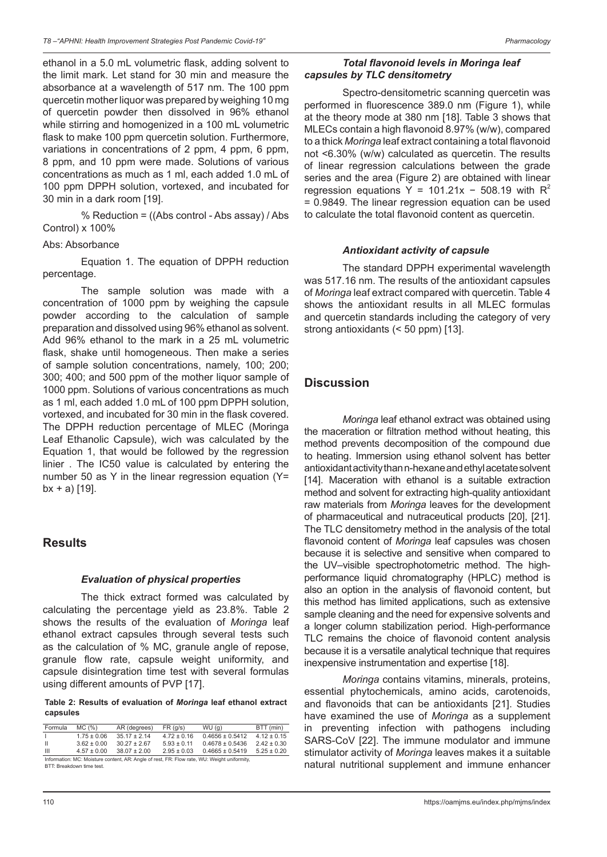ethanol in a 5.0 mL volumetric flask, adding solvent to the limit mark. Let stand for 30 min and measure the absorbance at a wavelength of 517 nm. The 100 ppm quercetin mother liquor was prepared by weighing 10 mg of quercetin powder then dissolved in 96% ethanol while stirring and homogenized in a 100 mL volumetric flask to make 100 ppm quercetin solution. Furthermore, variations in concentrations of 2 ppm, 4 ppm, 6 ppm, 8 ppm, and 10 ppm were made. Solutions of various concentrations as much as 1 ml, each added 1.0 mL of 100 ppm DPPH solution, vortexed, and incubated for 30 min in a dark room [19].

% Reduction = ((Abs control - Abs assay) / Abs Control) x 100%

#### Abs: Absorbance

Equation 1. The equation of DPPH reduction percentage.

The sample solution was made with a concentration of 1000 ppm by weighing the capsule powder according to the calculation of sample preparation and dissolved using 96% ethanol as solvent. Add 96% ethanol to the mark in a 25 mL volumetric flask, shake until homogeneous. Then make a series of sample solution concentrations, namely, 100; 200; 300; 400; and 500 ppm of the mother liquor sample of 1000 ppm. Solutions of various concentrations as much as 1 ml, each added 1.0 mL of 100 ppm DPPH solution, vortexed, and incubated for 30 min in the flask covered. The DPPH reduction percentage of MLEC (Moringa Leaf Ethanolic Capsule), wich was calculated by the Equation 1, that would be followed by the regression linier . The IC50 value is calculated by entering the number 50 as Y in the linear regression equation (Y=  $bx + a$  [19].

## **Results**

#### *Evaluation of physical properties*

The thick extract formed was calculated by calculating the percentage yield as 23.8%. Table 2 shows the results of the evaluation of *Moringa* leaf ethanol extract capsules through several tests such as the calculation of % MC, granule angle of repose, granule flow rate, capsule weight uniformity, and capsule disintegration time test with several formulas using different amounts of PVP [17].

**Table 2: Results of evaluation of** *Moringa* **leaf ethanol extract capsules**

| Formula                                                                                     | MC (%)          | AR (degrees)     | FR (q/s)        | WU(q)               | BTT (min)       |  |
|---------------------------------------------------------------------------------------------|-----------------|------------------|-----------------|---------------------|-----------------|--|
|                                                                                             | $1.75 \pm 0.06$ | $35.17 \pm 2.14$ | $4.72 \pm 0.16$ | $0.4656 \pm 0.5412$ | $4.12 \pm 0.15$ |  |
| - 11                                                                                        | $3.62 \pm 0.00$ | $30.27 \pm 2.67$ | $5.93 \pm 0.11$ | $0.4678 \pm 0.5436$ | $2.42 \pm 0.30$ |  |
| Ш                                                                                           | $4.57 \pm 0.00$ | $38.07 \pm 2.00$ | $2.95 \pm 0.03$ | $0.4665 \pm 0.5419$ | $5.25 \pm 0.20$ |  |
| Information: MC: Moisture content, AR: Angle of rest, FR: Flow rate, WU: Weight uniformity, |                 |                  |                 |                     |                 |  |

BTT: Breakdown time test.

### *Total flavonoid levels in Moringa leaf capsules by TLC densitometry*

Spectro-densitometric scanning quercetin was performed in fluorescence 389.0 nm (Figure 1), while at the theory mode at 380 nm [18]. Table 3 shows that MLECs contain a high flavonoid 8.97% (w/w), compared to a thick *Moringa* leaf extract containing a total flavonoid not <6.30% (w/w) calculated as quercetin. The results of linear regression calculations between the grade series and the area (Figure 2) are obtained with linear regression equations Y = 101.21x - 508.19 with  $R^2$ = 0.9849. The linear regression equation can be used to calculate the total flavonoid content as quercetin.

#### *Antioxidant activity of capsule*

The standard DPPH experimental wavelength was 517.16 nm. The results of the antioxidant capsules of *Moringa* leaf extract compared with quercetin. Table 4 shows the antioxidant results in all MLEC formulas and quercetin standards including the category of very strong antioxidants (< 50 ppm) [13].

# **Discussion**

*Moringa* leaf ethanol extract was obtained using the maceration or filtration method without heating, this method prevents decomposition of the compound due to heating. Immersion using ethanol solvent has better antioxidant activity than n-hexane and ethyl acetate solvent [14]. Maceration with ethanol is a suitable extraction method and solvent for extracting high-quality antioxidant raw materials from *Moringa* leaves for the development of pharmaceutical and nutraceutical products [20], [21]. The TLC densitometry method in the analysis of the total flavonoid content of *Moringa* leaf capsules was chosen because it is selective and sensitive when compared to the UV–visible spectrophotometric method. The highperformance liquid chromatography (HPLC) method is also an option in the analysis of flavonoid content, but this method has limited applications, such as extensive sample cleaning and the need for expensive solvents and a longer column stabilization period. High-performance TLC remains the choice of flavonoid content analysis because it is a versatile analytical technique that requires inexpensive instrumentation and expertise [18].

*Moringa* contains vitamins, minerals, proteins, essential phytochemicals, amino acids, carotenoids, and flavonoids that can be antioxidants [21]. Studies have examined the use of *Moringa* as a supplement in preventing infection with pathogens including SARS-CoV [22]. The immune modulator and immune stimulator activity of *Moringa* leaves makes it a suitable natural nutritional supplement and immune enhancer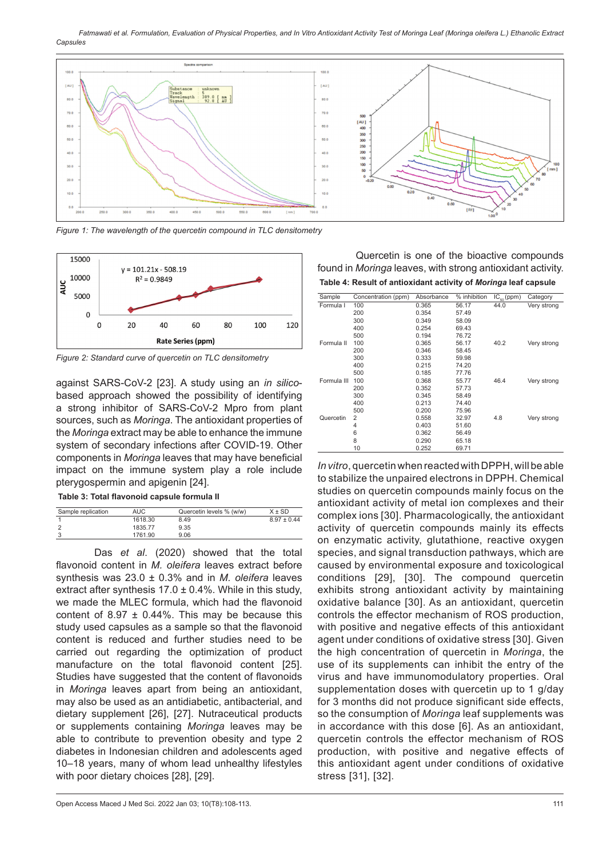*Fatmawati et al. Formulation, Evaluation of Physical Properties, and In Vitro Antioxidant Activity Test of Moringa Leaf (Moringa oleifera L.) Ethanolic Extract Capsules*



*Figure 1: The wavelength of the quercetin compound in TLC densitometry*



*Figure 2: Standard curve of quercetin on TLC densitometry*

against SARS-CoV-2 [23]. A study using an *in silico*based approach showed the possibility of identifying a strong inhibitor of SARS-CoV-2 Mpro from plant sources, such as *Moringa*. The antioxidant properties of the *Moringa* extract may be able to enhance the immune system of secondary infections after COVID-19. Other components in *Moringa* leaves that may have beneficial impact on the immune system play a role include pterygospermin and apigenin [24].

#### **Table 3: Total flavonoid capsule formula II**

| Sample replication | <b>AUC</b> | Quercetin levels % (w/w) | $X \pm SD$      |
|--------------------|------------|--------------------------|-----------------|
|                    | 1618.30    | 8.49                     | $8.97 \pm 0.44$ |
|                    | 1835.77    | 9.35                     |                 |
|                    | 1761.90    | 9.06                     |                 |

Das *et al*. (2020) showed that the total flavonoid content in *M. oleifera* leaves extract before synthesis was 23.0 ± 0.3% and in *M. oleifera* leaves extract after synthesis  $17.0 \pm 0.4\%$ . While in this study, we made the MLEC formula, which had the flavonoid content of 8.97  $\pm$  0.44%. This may be because this study used capsules as a sample so that the flavonoid content is reduced and further studies need to be carried out regarding the optimization of product manufacture on the total flavonoid content [25]. Studies have suggested that the content of flavonoids in *Moringa* leaves apart from being an antioxidant, may also be used as an antidiabetic, antibacterial, and dietary supplement [26], [27]. Nutraceutical products or supplements containing *Moringa* leaves may be able to contribute to prevention obesity and type 2 diabetes in Indonesian children and adolescents aged 10–18 years, many of whom lead unhealthy lifestyles with poor dietary choices [28], [29].

Quercetin is one of the bioactive compounds found in *Moringa* leaves, with strong antioxidant activity. **Table 4: Result of antioxidant activity of** *Moringa* **leaf capsule**

| Sample      | Concentration (ppm) | Absorbance | % inhibition | $IC_{50}$ (ppm) | Category    |
|-------------|---------------------|------------|--------------|-----------------|-------------|
| Formula I   | 100                 | 0.365      | 56.17        | 44.0            | Very strong |
|             | 200                 | 0.354      | 57.49        |                 |             |
|             | 300                 | 0.349      | 58.09        |                 |             |
|             | 400                 | 0.254      | 69.43        |                 |             |
|             | 500                 | 0.194      | 76.72        |                 |             |
| Formula II  | 100                 | 0.365      | 56.17        | 40.2            | Very strong |
|             | 200                 | 0.346      | 58.45        |                 |             |
|             | 300                 | 0.333      | 59.98        |                 |             |
|             | 400                 | 0.215      | 74.20        |                 |             |
|             | 500                 | 0.185      | 77.76        |                 |             |
| Formula III | 100                 | 0.368      | 55.77        | 46.4            | Very strong |
|             | 200                 | 0.352      | 57.73        |                 |             |
|             | 300                 | 0.345      | 58.49        |                 |             |
|             | 400                 | 0.213      | 74.40        |                 |             |
|             | 500                 | 0.200      | 75.96        |                 |             |
| Quercetin   | 2                   | 0.558      | 32.97        | 4.8             | Very strong |
|             | 4                   | 0.403      | 51.60        |                 |             |
|             | 6                   | 0.362      | 56.49        |                 |             |
|             | 8                   | 0.290      | 65.18        |                 |             |
|             | 10                  | 0.252      | 69.71        |                 |             |

*In vitro*, quercetin when reacted with DPPH, will be able to stabilize the unpaired electrons in DPPH. Chemical studies on quercetin compounds mainly focus on the antioxidant activity of metal ion complexes and their complex ions [30]. Pharmacologically, the antioxidant activity of quercetin compounds mainly its effects on enzymatic activity, glutathione, reactive oxygen species, and signal transduction pathways, which are caused by environmental exposure and toxicological conditions [29], [30]. The compound quercetin exhibits strong antioxidant activity by maintaining oxidative balance [30]. As an antioxidant, quercetin controls the effector mechanism of ROS production, with positive and negative effects of this antioxidant agent under conditions of oxidative stress [30]. Given the high concentration of quercetin in *Moringa*, the use of its supplements can inhibit the entry of the virus and have immunomodulatory properties. Oral supplementation doses with quercetin up to 1 g/day for 3 months did not produce significant side effects, so the consumption of *Moringa* leaf supplements was in accordance with this dose [6]. As an antioxidant, quercetin controls the effector mechanism of ROS production, with positive and negative effects of this antioxidant agent under conditions of oxidative stress [31], [32].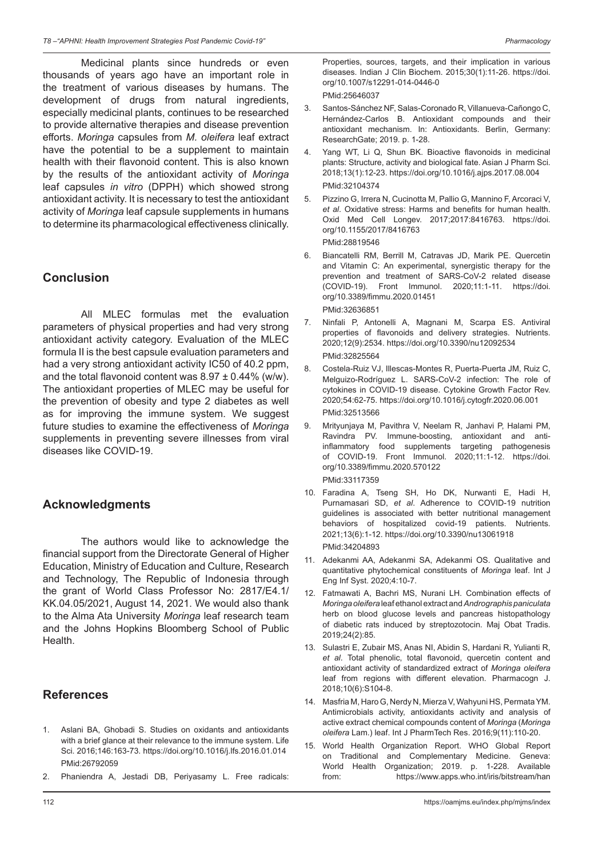Medicinal plants since hundreds or even thousands of years ago have an important role in the treatment of various diseases by humans. The development of drugs from natural ingredients, especially medicinal plants, continues to be researched to provide alternative therapies and disease prevention efforts. *Moringa* capsules from *M. oleifera* leaf extract have the potential to be a supplement to maintain health with their flavonoid content. This is also known by the results of the antioxidant activity of *Moringa* leaf capsules *in vitro* (DPPH) which showed strong antioxidant activity. It is necessary to test the antioxidant activity of *Moringa* leaf capsule supplements in humans to determine its pharmacological effectiveness clinically.

# **Conclusion**

All MLEC formulas met the evaluation parameters of physical properties and had very strong antioxidant activity category. Evaluation of the MLEC formula II is the best capsule evaluation parameters and had a very strong antioxidant activity IC50 of 40.2 ppm, and the total flavonoid content was  $8.97 \pm 0.44\%$  (w/w). The antioxidant properties of MLEC may be useful for the prevention of obesity and type 2 diabetes as well as for improving the immune system. We suggest future studies to examine the effectiveness of *Moringa*  supplements in preventing severe illnesses from viral diseases like COVID-19.

# **Acknowledgments**

The authors would like to acknowledge the financial support from the Directorate General of Higher Education, Ministry of Education and Culture, Research and Technology, The Republic of Indonesia through the grant of World Class Professor No: 2817/E4.1/ KK.04.05/2021, August 14, 2021. We would also thank to the Alma Ata University *Moringa* leaf research team and the Johns Hopkins Bloomberg School of Public Health.

# **References**

- 1. Aslani BA, Ghobadi S. Studies on oxidants and antioxidants with a brief glance at their relevance to the immune system. Life Sci. 2016;146:163-73. https://doi.org/10.1016/j.lfs.2016.01.014 PMid:26792059
- 2. Phaniendra A, Jestadi DB, Periyasamy L. Free radicals:

Properties, sources, targets, and their implication in various diseases. Indian J Clin Biochem. 2015;30(1):11-26. https://doi. org/10.1007/s12291-014-0446-0 PMid:25646037

- 3. Santos-Sánchez NF, Salas-Coronado R, Villanueva-Cañongo C, Hernández-Carlos B. Antioxidant compounds and their antioxidant mechanism. In: Antioxidants. Berlin, Germany: ResearchGate; 2019. p. 1-28.
- 4. Yang WT, Li Q, Shun BK. Bioactive flavonoids in medicinal plants: Structure, activity and biological fate. Asian J Pharm Sci. 2018;13(1):12-23. https://doi.org/10.1016/j.ajps.2017.08.004 PMid:32104374
- 5. Pizzino G, Irrera N, Cucinotta M, Pallio G, Mannino F, Arcoraci V, *et al*. Oxidative stress: Harms and benefits for human health. Oxid Med Cell Longev. 2017;2017:8416763. https://doi. org/10.1155/2017/8416763

PMid:28819546

- 6. Biancatelli RM, Berrill M, Catravas JD, Marik PE. Quercetin and Vitamin C: An experimental, synergistic therapy for the prevention and treatment of SARS-CoV-2 related disease (COVID-19). Front Immunol. 2020;11:1-11. https://doi. org/10.3389/fimmu.2020.01451 PMid:32636851
- 7. Ninfali P, Antonelli A, Magnani M, Scarpa ES. Antiviral properties of flavonoids and delivery strategies. Nutrients. 2020;12(9):2534. https://doi.org/10.3390/nu12092534 PMid:32825564
- 8. Costela-Ruiz VJ, Illescas-Montes R, Puerta-Puerta JM, Ruiz C, Melguizo-Rodríguez L. SARS-CoV-2 infection: The role of cytokines in COVID-19 disease. Cytokine Growth Factor Rev. 2020;54:62-75. https://doi.org/10.1016/j.cytogfr.2020.06.001 PMid:32513566
- 9. Mrityunjaya M, Pavithra V, Neelam R, Janhavi P, Halami PM, Ravindra PV. Immune-boosting, antioxidant and antiinflammatory food supplements targeting pathogenesis of COVID-19. Front Immunol. 2020;11:1-12. https://doi. org/10.3389/fimmu.2020.570122 PMid:33117359
- 10. Faradina A, Tseng SH, Ho DK, Nurwanti E, Hadi H, Purnamasari SD, *et al*. Adherence to COVID-19 nutrition guidelines is associated with better nutritional management behaviors of hospitalized covid-19 patients. Nutrients. 2021;13(6):1-12. https://doi.org/10.3390/nu13061918 PMid:34204893
- 11. Adekanmi AA, Adekanmi SA, Adekanmi OS. Qualitative and quantitative phytochemical constituents of *Moringa* leaf. Int J Eng Inf Syst. 2020;4:10-7.
- 12. Fatmawati A, Bachri MS, Nurani LH. Combination effects of *Moringa oleifera* leaf ethanol extract and *Andrographis paniculata* herb on blood glucose levels and pancreas histopathology of diabetic rats induced by streptozotocin. Maj Obat Tradis. 2019;24(2):85.
- 13. Sulastri E, Zubair MS, Anas NI, Abidin S, Hardani R, Yulianti R, *et al*. Total phenolic, total flavonoid, quercetin content and antioxidant activity of standardized extract of *Moringa oleifera* leaf from regions with different elevation. Pharmacogn J. 2018;10(6):S104-8.
- 14. Masfria M, Haro G, Nerdy N, Mierza V, Wahyuni HS, PermataYM. Antimicrobials activity, antioxidants activity and analysis of active extract chemical compounds content of *Moringa* (*Moringa oleifera* Lam.) leaf. Int J PharmTech Res. 2016;9(11):110-20.
- 15. World Health Organization Report. WHO Global Report on Traditional and Complementary Medicine. Geneva: World Health Organization; 2019. p. 1-228. Available from: https://www.apps.who.int/iris/bitstream/han